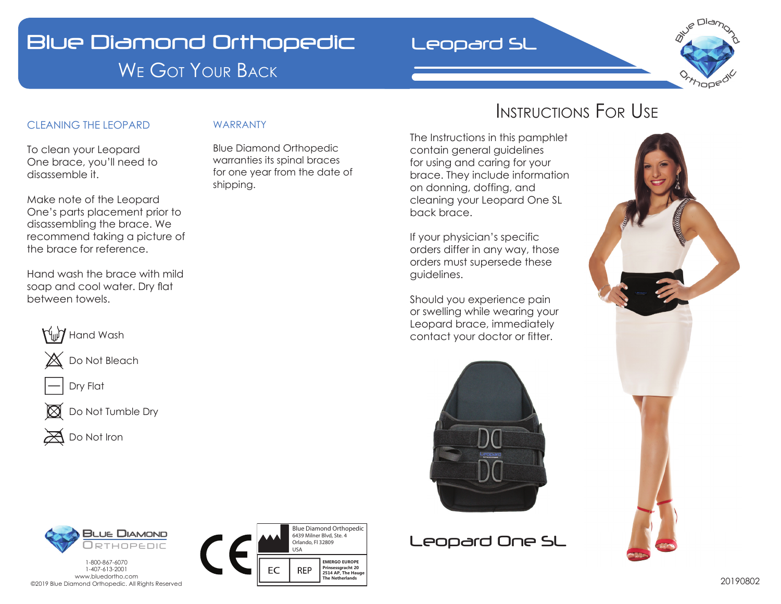# Blue Diamond Orthopedic WE GOT YOUR BACK

## Leopard SL



## CLEANING THE LEOPARD

WARRANTY

To clean your Leopard One brace, you'll need to disassemble it.

Make note of the Leopard One's parts placement prior to disassembling the brace. We recommend taking a picture of the brace for reference.

Hand wash the brace with mild soap and cool water. Dry flat between towels.







 $\boxtimes$  Do Not Tumble Dry



Blue Diamond Orthopedic warranties its spinal braces for one year from the date of shipping.

## INSTRUCTIONS FOR USE

The Instructions in this pamphlet contain general guidelines for using and caring for your brace. They include information on donning, doffing, and cleaning your Leopard One SL back brace.

If your physician's specific orders differ in any way, those orders must supersede these guidelines.

Should you experience pain or swelling while wearing your Leopard brace, immediately contact your doctor or fitter.









DIAMOND

**ORTHOPEDIC**